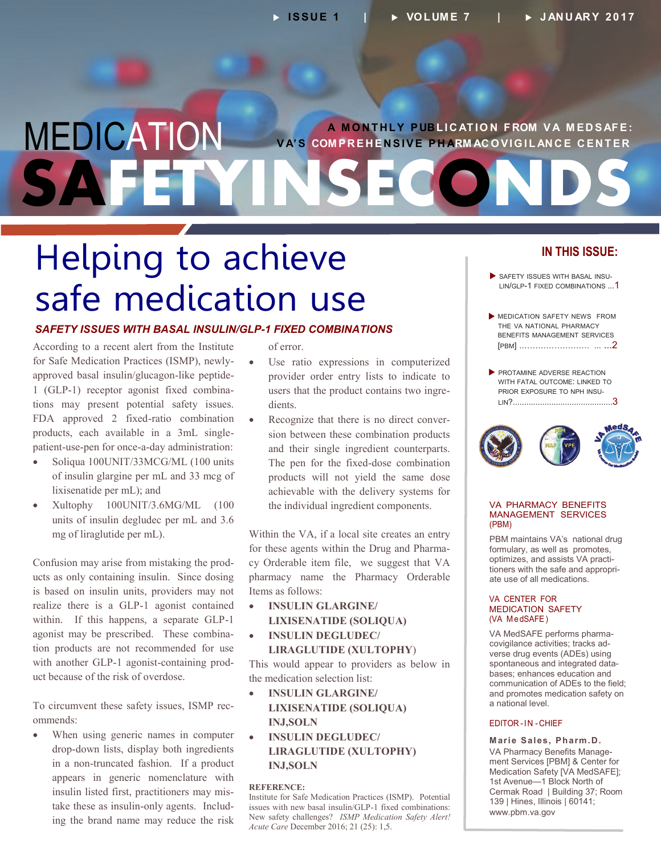### MEDICATION SAFE **A M O NT HLY P UB L I C AT IO N F ROM V A M ED S AFE: V A'S COM PR E H EN SIVE P H ARM AC O VIG I L AN C E C ENT ER**

# **Helping to achieve**<br> **Safe medication us** safe medication use

#### *SAFETY ISSUES WITH BASAL INSULIN/GLP-1 FIXED COMBINATIONS*

According to a recent alert from the Institute for Safe Medication Practices (ISMP), newlyapproved basal insulin/glucagon-like peptide-1 (GLP-1) receptor agonist fixed combina tions may present potential safety issues. FDA approved 2 fixed-ratio combination products, each available in a 3mL singlepatient-use-pen for once-a-day administration:

- Soliqua 100UNIT/33MCG/ML (100 units of insulin glargine per mL and 33 mcg of lixisenatide per mL); and
- Xultophy 100UNIT/3.6MG/ML (100 units of insulin degludec per mL and 3.6 mg of liraglutide per mL).

Confusion may arise from mistaking the products as only containing insulin. Since dosing is based on insulin units, providers may not realize there is a GLP-1 agonist contained within. If this happens, a separate GLP-1 agonist may be prescribed. These combination products are not recommended for use with another GLP-1 agonist-containing prod uct because of the risk of overdose.

To circumvent these safety issues, ISMP rec ommends:

T<br> **O**<br> **●**  When using generic names in computer drop-down lists, display both ingredients in a non-truncated fashion. If a product appears in generic nomenclature with insulin listed first, practitioners may mis take these as insulin-only agents. Includ ing the brand name may reduce the risk of error.

- Use ratio expressions in computerized provider order entry lists to indicate to users that the product contains two ingredients.
- Recognize that there is no direct conversion between these combination products and their single ingredient counterparts. The pen for the fixed-dose combination products will not yield the same dose achievable with the delivery systems for the individual ingredient components.

Within the VA, if a local site creates an entry for these agents within the Drug and Pharma cy Orderable item file, we suggest that VA pharmacy name the Pharmacy Orderable Items as follows:

 **INSULIN GLARGINE/ LIXISENATIDE (SOLIQUA)**

#### **INSULIN DEGLUDEC/ LIRAGLUTIDE (XULTOPHY**)

This would appear to providers as below in the medication selection list:

- **INSULIN GLARGINE/ LIXISENATIDE (SOLIQUA) INJ,SOLN**
- **INSULIN DEGLUDEC/ LIRAGLUTIDE (XULTOPHY) INJ,SOLN**

#### **REFERENCE:**

Institute for Safe Medication Practices (ISMP). Potential issues with new basal insulin/GLP-1 fixed combinations: New safety challenges? *ISMP Medication Safety Alert! Acute Care* December 2016; 21 (25): 1,5.

#### **IN THIS ISSUE:**

- SAFETY ISSUES WITH BASAL INSU-LIN/GLP-1 FIXED COMBINATIONS ...1
- **MEDICATION SAFETY NEWS FROM** THE VA NATIONAL PHARMACY BENEFITS MANAGEMENT SERVICES [PBM[\] .……………………. ...](#page--1-0) ...2
- PROTAMINE ADVERSE REACTION WITH FATAL OUTCOME: LINKED TO PRIOR EXPOSURE TO NPH INSU - LIN[?............................................](#page-2-0)3



#### VA PHARMACY BENEFITS MANAGEMENT SERVICES (PBM)

PBM maintains VA's national drug formulary, as well as promotes, optimizes, and assists VA practi tioners with the safe and appropri ate use of all medications.

#### VA CENTER FOR MEDICATION SAFETY (VA MedSAFE)

VA MedSAFE performs pharma covigilance activities; tracks ad verse drug events (ADEs) using spontaneous and integrated data bases; enhances education and communication of ADEs to the field; and promotes medication safety on a national level.

#### EDITOR-IN -CHIEF

**Marie Sales, Pharm.D.** VA Pharmacy Benefits Manage ment Services [PBM] & Center for Medication Safety [VA MedSAFE]; 1st Avenue—1 Block North of Cermak Road | Building 37; Room 139 | Hines, Illinois | 60141; [www.pbm.va.gov](http://www.pbm.va.gov)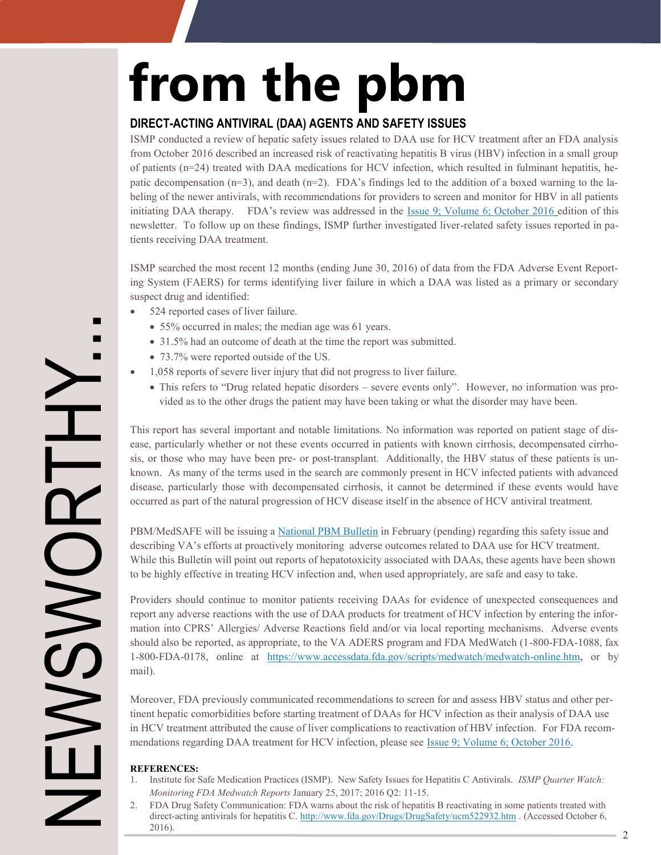# **from the pbm**

#### **DIRECT-ACTING ANTIVIRAL (DAA) AGENTS AND SAFETY ISSUES**

ISMP conducted a review of hepatic safety issues related to DAA use for HCV treatment after an FDA analysis from October 2016 described an increased risk of reactivating hepatitis B virus (HBV) infection in a small group of patients (n=24) treated with DAA medications for HCV infection, which resulted in fulminant hepatitis, he patic decompensation  $(n=3)$ , and death  $(n=2)$ . FDA's findings led to the addition of a boxed warning to the labeling of the newer antivirals, with recommendations for providers to screen and monitor for HBV in all patients initiating DAA therapy. FDA's review was addressed in the [Issue 9; Volume 6; October 2016 e](http://www.pbm.va.gov/PBM/vacenterformedicationsafety/newsletter/Medication_Safety_in_Seconds_Oct_2016_FINAL.pdf)dition of this newsletter. To follow up on these findings, ISMP further investigated liver-related safety issues reported in pa tients receiving DAA treatment.

ISMP searched the most recent 12 months (ending June 30, 2016) of data from the FDA Adverse Event Report ing System (FAERS) for terms identifying liver failure in which a DAA was listed as a primary or secondary suspect drug and identified:

- 524 reported cases of liver failure.
	- 55% occurred in males; the median age was 61 years.
	- 31.5% had an outcome of death at the time the report was submitted.
	- 73.7% were reported outside of the US.
- 1,058 reports of severe liver injury that did not progress to liver failure.
	- This refers to "Drug related hepatic disorders severe events only". However, no information was provided as to the other drugs the patient may have been taking or what the disorder may have been.

This report has several important and notable limitations. No information was reported on patient stage of dis ease, particularly whether or not these events occurred in patients with known cirrhosis, decompensated cirrho sis, or those who may have been pre- or post-transplant. Additionally, the HBV status of these patients is un known. As many of the terms used in the search are commonly present in HCV infected patients with advanced disease, particularly those with decompensated cirrhosis, it cannot be determined if these events would have occurred as part of the natural progression of HCV disease itself in the absence of HCV antiviral treatment.

PBM/MedSAFE will be issuing a [National PBM Bulletin](http://www.pbm.va.gov/PBM/vacenterformedicationsafety/vacenterformedicationsafetybulletinsandnewsalerts.asp) in February (pending) regarding this safety issue and describing VA's efforts at proactively monitoring adverse outcomes related to DAA use for HCV treatment. While this Bulletin will point out reports of hepatotoxicity associated with DAAs, these agents have been shown to be highly effective in treating HCV infection and, when used appropriately, are safe and easy to take.

Providers should continue to monitor patients receiving DAAs for evidence of unexpected consequences and report any adverse reactions with the use of DAA products for treatment of HCV infection by entering the infor mation into CPRS' Allergies/ Adverse Reactions field and/or via local reporting mechanisms. Adverse events should also be reported, as appropriate, to the VA ADERS program and FDA MedWatch (1-800-FDA-1088, fax 1-800-FDA-0178, online at [https://www.accessdata.fda.gov/scripts/medwatch/medwatch](https://www.accessdata.fda.gov/scripts/medwatch/medwatch-online.htm)-online.htm, or by mail).

Moreover, FDA previously communicated recommendations to screen for and assess HBV status and other per tinent hepatic comorbidities before starting treatment of DAAs for HCV infection as their analysis of DAA use in HCV treatment attributed the cause of liver complications to reactivation of HBV infection. For FDA recom - mendations regarding DAA treatment for HCV infection, please see [Issue 9; Volume 6; October 2016.](http://www.pbm.va.gov/PBM/vacenterformedicationsafety/newsletter/Medication_Safety_in_Seconds_Oct_2016_FINAL.pdf)

#### **REFERENCES:**

NEWSWORTHY...

**NOWS** 

NEN

- 1. Institute for Safe Medication Practices (ISMP). New Safety Issues for Hepatitis C Antivirals. *ISMP Quarter Watch: Monitoring FDA Medwatch Reports* January 25, 2017; 2016 Q2: 11-15.
- 2. FDA Drug Safety Communication: FDA warns about the risk of hepatitis B reactivating in some patients treated with direct-acting antivirals for hepatitis C. [http://www.fda.gov/Drugs/DrugSafety/ucm522932.htm .](http://www.fda.gov/Drugs/DrugSafety/ucm522932.htm) (Accessed October 6, 2016). 2